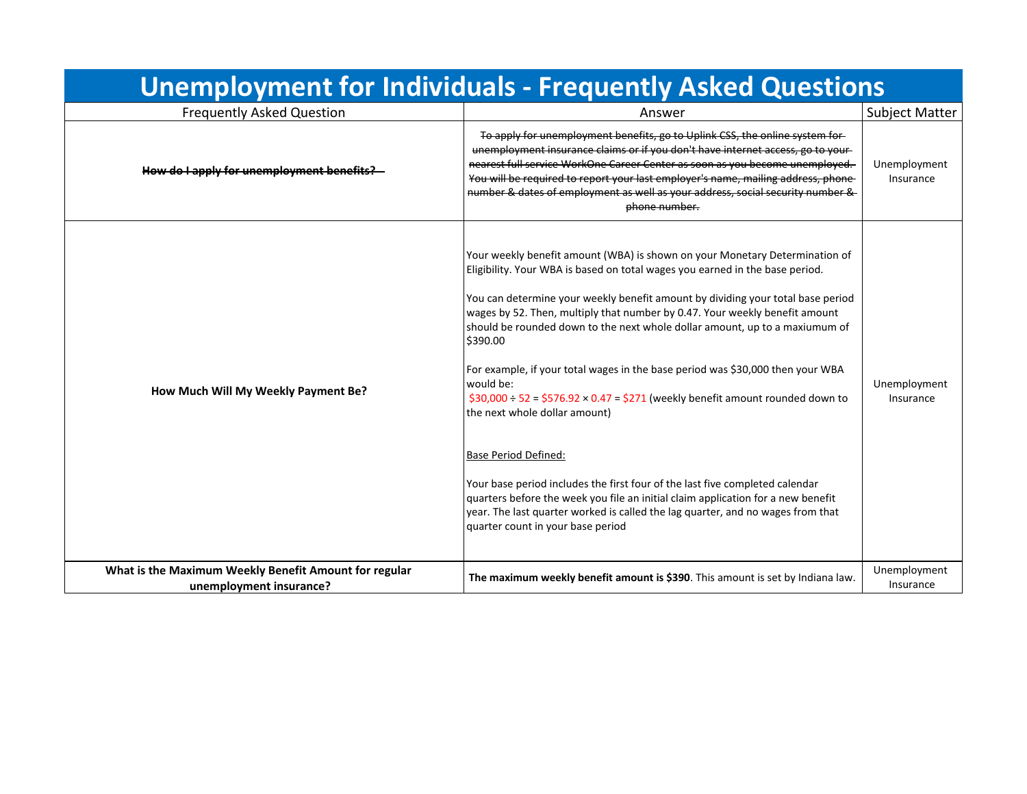| <b>Unemployment for Individuals - Frequently Asked Questions</b>                 |                                                                                                                                                                                                                                                                                                                                                                                                                                                                                                                                                                                                                                                                                                                                                                                                                                                                                                                                                                              |                           |  |
|----------------------------------------------------------------------------------|------------------------------------------------------------------------------------------------------------------------------------------------------------------------------------------------------------------------------------------------------------------------------------------------------------------------------------------------------------------------------------------------------------------------------------------------------------------------------------------------------------------------------------------------------------------------------------------------------------------------------------------------------------------------------------------------------------------------------------------------------------------------------------------------------------------------------------------------------------------------------------------------------------------------------------------------------------------------------|---------------------------|--|
| <b>Frequently Asked Question</b>                                                 | Answer                                                                                                                                                                                                                                                                                                                                                                                                                                                                                                                                                                                                                                                                                                                                                                                                                                                                                                                                                                       | <b>Subject Matter</b>     |  |
| How do I apply for unemployment benefits?                                        | To apply for unemployment benefits, go to Uplink CSS, the online system for-<br>unemployment insurance claims or if you don't have internet access, go to your-<br>nearest full service WorkOne Career Center as soon as you become unemployed.<br>You will be required to report your last employer's name, mailing address, phone-<br>number & dates of employment as well as your address, social security number &<br>phone number.                                                                                                                                                                                                                                                                                                                                                                                                                                                                                                                                      | Unemployment<br>Insurance |  |
| How Much Will My Weekly Payment Be?                                              | Your weekly benefit amount (WBA) is shown on your Monetary Determination of<br>Eligibility. Your WBA is based on total wages you earned in the base period.<br>You can determine your weekly benefit amount by dividing your total base period<br>wages by 52. Then, multiply that number by 0.47. Your weekly benefit amount<br>should be rounded down to the next whole dollar amount, up to a maxiumum of<br>\$390.00<br>For example, if your total wages in the base period was \$30,000 then your WBA<br>would be:<br>$$30,000 \div 52 = $576.92 \times 0.47 = $271$ (weekly benefit amount rounded down to<br>the next whole dollar amount)<br><b>Base Period Defined:</b><br>Your base period includes the first four of the last five completed calendar<br>quarters before the week you file an initial claim application for a new benefit<br>year. The last quarter worked is called the lag quarter, and no wages from that<br>quarter count in your base period | Unemployment<br>Insurance |  |
| What is the Maximum Weekly Benefit Amount for regular<br>unemployment insurance? | The maximum weekly benefit amount is \$390. This amount is set by Indiana law.                                                                                                                                                                                                                                                                                                                                                                                                                                                                                                                                                                                                                                                                                                                                                                                                                                                                                               | Unemployment<br>Insurance |  |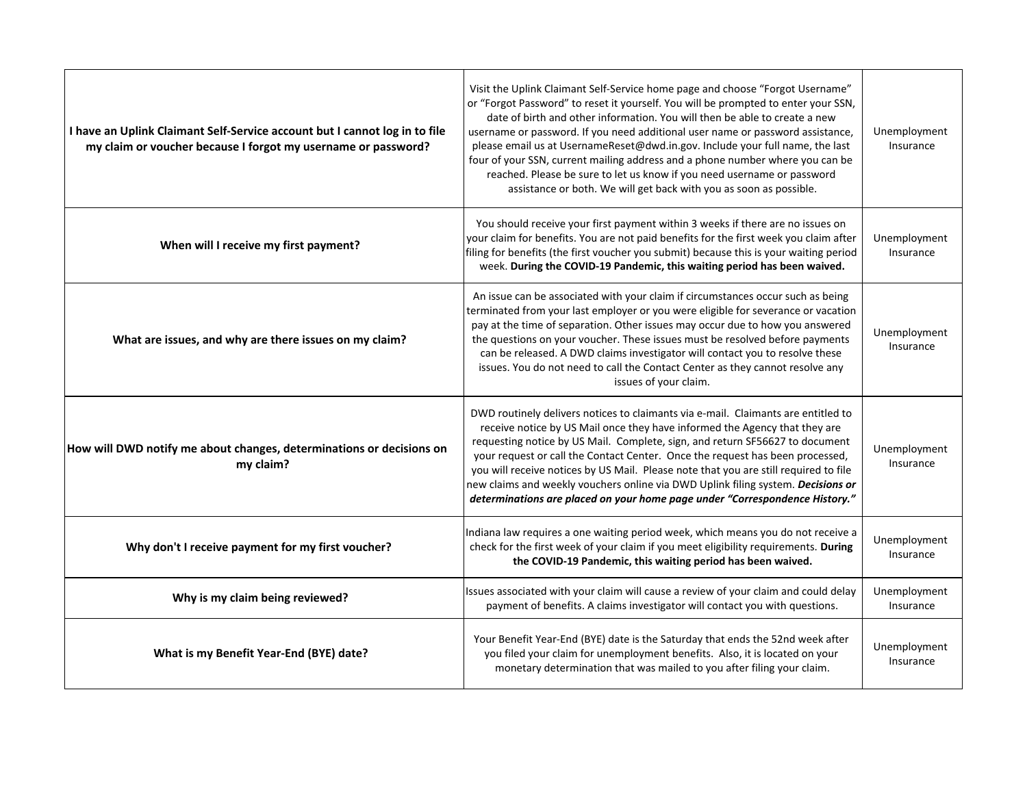| I have an Uplink Claimant Self-Service account but I cannot log in to file<br>my claim or voucher because I forgot my username or password? | Visit the Uplink Claimant Self-Service home page and choose "Forgot Username"<br>or "Forgot Password" to reset it yourself. You will be prompted to enter your SSN,<br>date of birth and other information. You will then be able to create a new<br>username or password. If you need additional user name or password assistance,<br>please email us at UsernameReset@dwd.in.gov. Include your full name, the last<br>four of your SSN, current mailing address and a phone number where you can be<br>reached. Please be sure to let us know if you need username or password<br>assistance or both. We will get back with you as soon as possible. | Unemployment<br>Insurance |
|---------------------------------------------------------------------------------------------------------------------------------------------|--------------------------------------------------------------------------------------------------------------------------------------------------------------------------------------------------------------------------------------------------------------------------------------------------------------------------------------------------------------------------------------------------------------------------------------------------------------------------------------------------------------------------------------------------------------------------------------------------------------------------------------------------------|---------------------------|
| When will I receive my first payment?                                                                                                       | You should receive your first payment within 3 weeks if there are no issues on<br>your claim for benefits. You are not paid benefits for the first week you claim after<br>filing for benefits (the first voucher you submit) because this is your waiting period<br>week. During the COVID-19 Pandemic, this waiting period has been waived.                                                                                                                                                                                                                                                                                                          | Unemployment<br>Insurance |
| What are issues, and why are there issues on my claim?                                                                                      | An issue can be associated with your claim if circumstances occur such as being<br>terminated from your last employer or you were eligible for severance or vacation<br>pay at the time of separation. Other issues may occur due to how you answered<br>the questions on your voucher. These issues must be resolved before payments<br>can be released. A DWD claims investigator will contact you to resolve these<br>issues. You do not need to call the Contact Center as they cannot resolve any<br>issues of your claim.                                                                                                                        | Unemployment<br>Insurance |
| How will DWD notify me about changes, determinations or decisions on<br>my claim?                                                           | DWD routinely delivers notices to claimants via e-mail. Claimants are entitled to<br>receive notice by US Mail once they have informed the Agency that they are<br>requesting notice by US Mail. Complete, sign, and return SF56627 to document<br>your request or call the Contact Center. Once the request has been processed,<br>you will receive notices by US Mail. Please note that you are still required to file<br>new claims and weekly vouchers online via DWD Uplink filing system. Decisions or<br>determinations are placed on your home page under "Correspondence History."                                                            | Unemployment<br>Insurance |
| Why don't I receive payment for my first voucher?                                                                                           | Indiana law requires a one waiting period week, which means you do not receive a<br>check for the first week of your claim if you meet eligibility requirements. During<br>the COVID-19 Pandemic, this waiting period has been waived.                                                                                                                                                                                                                                                                                                                                                                                                                 | Unemployment<br>Insurance |
| Why is my claim being reviewed?                                                                                                             | Issues associated with your claim will cause a review of your claim and could delay<br>payment of benefits. A claims investigator will contact you with questions.                                                                                                                                                                                                                                                                                                                                                                                                                                                                                     | Unemployment<br>Insurance |
| What is my Benefit Year-End (BYE) date?                                                                                                     | Your Benefit Year-End (BYE) date is the Saturday that ends the 52nd week after<br>you filed your claim for unemployment benefits. Also, it is located on your<br>monetary determination that was mailed to you after filing your claim.                                                                                                                                                                                                                                                                                                                                                                                                                | Unemployment<br>Insurance |